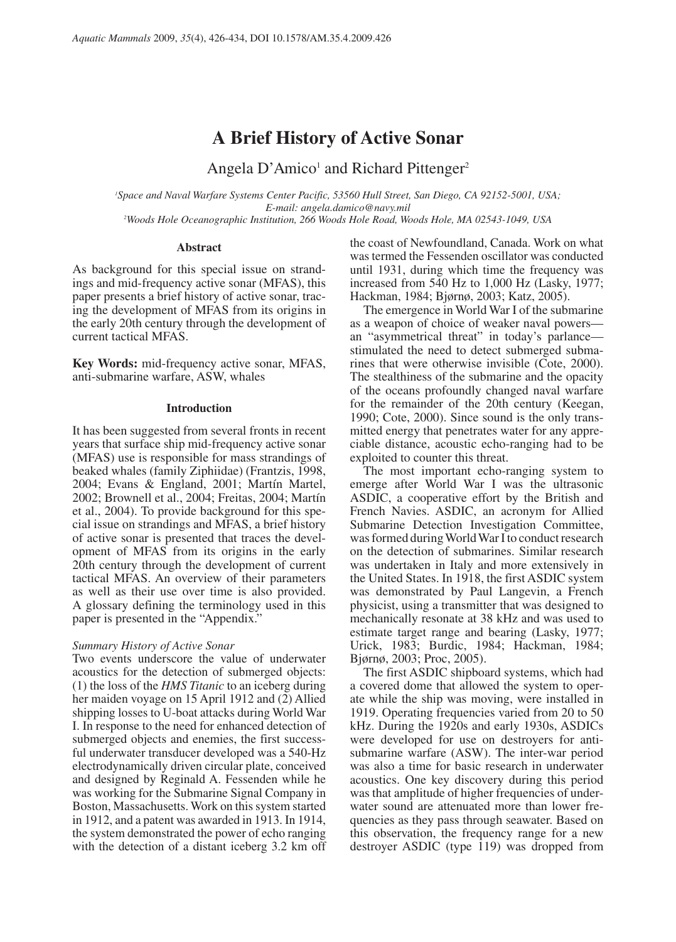# **A Brief History of Active Sonar**

Angela D'Amico<sup>1</sup> and Richard Pittenger<sup>2</sup>

*1 Space and Naval Warfare Systems Center Pacific, 53560 Hull Street, San Diego, CA 92152-5001, USA; E-mail: angela.damico@navy.mil 2 Woods Hole Oceanographic Institution, 266 Woods Hole Road, Woods Hole, MA 02543-1049, USA*

## **Abstract**

As background for this special issue on strandings and mid-frequency active sonar (MFAS), this paper presents a brief history of active sonar, tracing the development of MFAS from its origins in the early 20th century through the development of current tactical MFAS.

**Key Words:** mid-frequency active sonar, MFAS, anti-submarine warfare, ASW, whales

## **Introduction**

It has been suggested from several fronts in recent years that surface ship mid-frequency active sonar (MFAS) use is responsible for mass strandings of beaked whales (family Ziphiidae) (Frantzis, 1998, 2004; Evans & England, 2001; Martín Martel, 2002; Brownell et al., 2004; Freitas, 2004; Martín et al., 2004). To provide background for this special issue on strandings and MFAS, a brief history of active sonar is presented that traces the development of MFAS from its origins in the early 20th century through the development of current tactical MFAS. An overview of their parameters as well as their use over time is also provided. A glossary defining the terminology used in this paper is presented in the "Appendix."

#### *Summary History of Active Sonar*

Two events underscore the value of underwater acoustics for the detection of submerged objects: (1) the loss of the *HMS Titanic* to an iceberg during her maiden voyage on 15 April 1912 and (2) Allied shipping losses to U-boat attacks during World War I. In response to the need for enhanced detection of submerged objects and enemies, the first successful underwater transducer developed was a 540-Hz electrodynamically driven circular plate, conceived and designed by Reginald A. Fessenden while he was working for the Submarine Signal Company in Boston, Massachusetts. Work on this system started in 1912, and a patent was awarded in 1913. In 1914, the system demonstrated the power of echo ranging with the detection of a distant iceberg 3.2 km off

the coast of Newfoundland, Canada. Work on what was termed the Fessenden oscillator was conducted until 1931, during which time the frequency was increased from 540 Hz to 1,000 Hz (Lasky, 1977; Hackman, 1984; Bjørnø, 2003; Katz, 2005).

The emergence in World War I of the submarine as a weapon of choice of weaker naval powers an "asymmetrical threat" in today's parlance stimulated the need to detect submerged submarines that were otherwise invisible (Cote, 2000). The stealthiness of the submarine and the opacity of the oceans profoundly changed naval warfare for the remainder of the 20th century (Keegan, 1990; Cote, 2000). Since sound is the only transmitted energy that penetrates water for any appreciable distance, acoustic echo-ranging had to be exploited to counter this threat.

The most important echo-ranging system to emerge after World War I was the ultrasonic ASDIC, a cooperative effort by the British and French Navies. ASDIC, an acronym for Allied Submarine Detection Investigation Committee, was formed during World War I to conduct research on the detection of submarines. Similar research was undertaken in Italy and more extensively in the United States. In 1918, the first ASDIC system was demonstrated by Paul Langevin, a French physicist, using a transmitter that was designed to mechanically resonate at 38 kHz and was used to estimate target range and bearing (Lasky, 1977; Urick, 1983; Burdic, 1984; Hackman, 1984; Bjørnø, 2003; Proc, 2005).

The first ASDIC shipboard systems, which had a covered dome that allowed the system to operate while the ship was moving, were installed in 1919. Operating frequencies varied from 20 to 50 kHz. During the 1920s and early 1930s, ASDICs were developed for use on destroyers for antisubmarine warfare (ASW). The inter-war period was also a time for basic research in underwater acoustics. One key discovery during this period was that amplitude of higher frequencies of underwater sound are attenuated more than lower frequencies as they pass through seawater. Based on this observation, the frequency range for a new destroyer ASDIC (type 119) was dropped from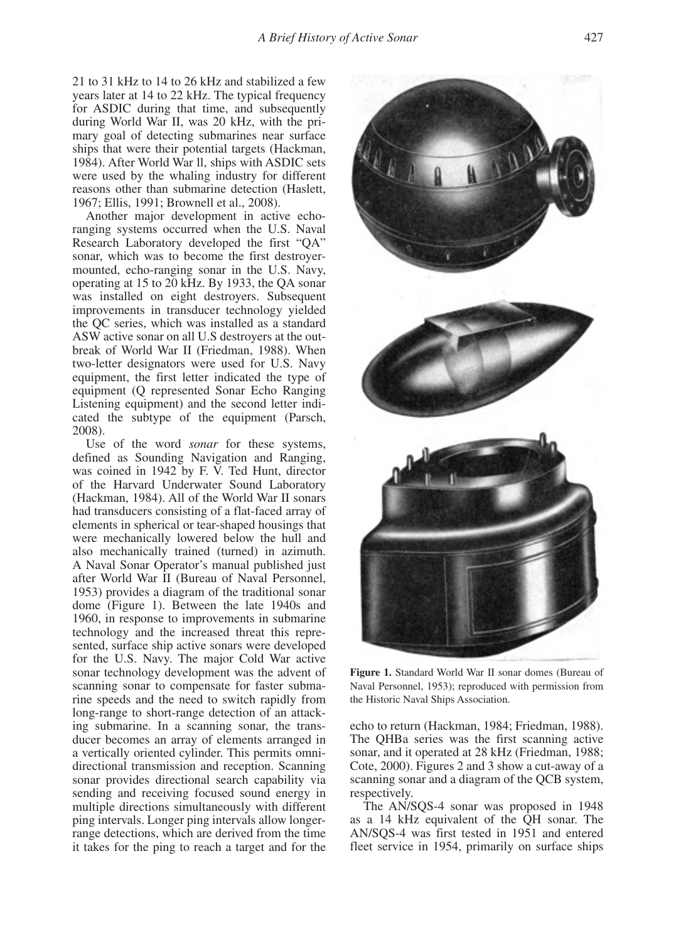21 to 31 kHz to 14 to 26 kHz and stabilized a few years later at 14 to 22 kHz. The typical frequency for ASDIC during that time, and subsequently during World War II, was 20 kHz, with the primary goal of detecting submarines near surface ships that were their potential targets (Hackman, 1984). After World War ll, ships with ASDIC sets were used by the whaling industry for different reasons other than submarine detection (Haslett, 1967; Ellis, 1991; Brownell et al., 2008).

Another major development in active echoranging systems occurred when the U.S. Naval Research Laboratory developed the first "QA" sonar, which was to become the first destroyermounted, echo-ranging sonar in the U.S. Navy, operating at 15 to 20 kHz. By 1933, the QA sonar was installed on eight destroyers. Subsequent improvements in transducer technology yielded the QC series, which was installed as a standard ASW active sonar on all U.S destroyers at the outbreak of World War II (Friedman, 1988). When two-letter designators were used for U.S. Navy equipment, the first letter indicated the type of equipment (Q represented Sonar Echo Ranging Listening equipment) and the second letter indicated the subtype of the equipment (Parsch, 2008).

Use of the word *sonar* for these systems, defined as Sounding Navigation and Ranging, was coined in 1942 by F. V. Ted Hunt, director of the Harvard Underwater Sound Laboratory (Hackman, 1984). All of the World War II sonars had transducers consisting of a flat-faced array of elements in spherical or tear-shaped housings that were mechanically lowered below the hull and also mechanically trained (turned) in azimuth. A Naval Sonar Operator's manual published just after World War II (Bureau of Naval Personnel, 1953) provides a diagram of the traditional sonar dome (Figure 1). Between the late 1940s and 1960, in response to improvements in submarine technology and the increased threat this represented, surface ship active sonars were developed for the U.S. Navy. The major Cold War active sonar technology development was the advent of scanning sonar to compensate for faster submarine speeds and the need to switch rapidly from long-range to short-range detection of an attacking submarine. In a scanning sonar, the transducer becomes an array of elements arranged in a vertically oriented cylinder. This permits omnidirectional transmission and reception. Scanning sonar provides directional search capability via sending and receiving focused sound energy in multiple directions simultaneously with different ping intervals. Longer ping intervals allow longerrange detections, which are derived from the time it takes for the ping to reach a target and for the



**Figure 1.** Standard World War II sonar domes (Bureau of Naval Personnel, 1953); reproduced with permission from the Historic Naval Ships Association.

echo to return (Hackman, 1984; Friedman, 1988). The QHBa series was the first scanning active sonar, and it operated at 28 kHz (Friedman, 1988; Cote, 2000). Figures 2 and 3 show a cut-away of a scanning sonar and a diagram of the QCB system, respectively.

The AN/SQS-4 sonar was proposed in 1948 as a 14 kHz equivalent of the QH sonar. The AN/SQS-4 was first tested in 1951 and entered fleet service in 1954, primarily on surface ships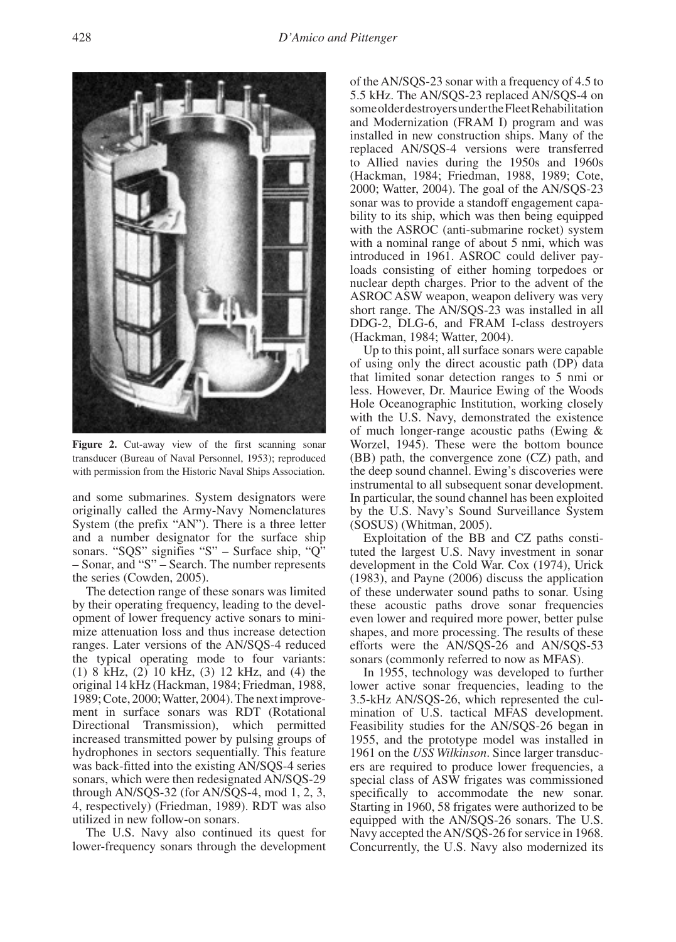

Figure 2. Cut-away view of the first scanning sonar transducer (Bureau of Naval Personnel, 1953); reproduced with permission from the Historic Naval Ships Association.

and some submarines. System designators were originally called the Army-Navy Nomenclatures System (the prefix "AN"). There is a three letter and a number designator for the surface ship sonars. "SQS" signifies "S" – Surface ship, "Q" – Sonar, and "S" – Search. The number represents the series (Cowden, 2005).

The detection range of these sonars was limited by their operating frequency, leading to the development of lower frequency active sonars to minimize attenuation loss and thus increase detection ranges. Later versions of the AN/SQS-4 reduced the typical operating mode to four variants: (1) 8 kHz, (2) 10 kHz, (3) 12 kHz, and (4) the original 14 kHz (Hackman, 1984; Friedman, 1988, 1989; Cote, 2000; Watter, 2004). The next improvement in surface sonars was RDT (Rotational Directional Transmission), which permitted increased transmitted power by pulsing groups of hydrophones in sectors sequentially. This feature was back-fitted into the existing AN/SQS-4 series sonars, which were then redesignated AN/SQS-29 through AN/SQS-32 (for AN/SQS-4, mod 1, 2, 3, 4, respectively) (Friedman, 1989). RDT was also utilized in new follow-on sonars.

The U.S. Navy also continued its quest for lower-frequency sonars through the development

of the AN/SQS-23 sonar with a frequency of 4.5 to 5.5 kHz. The AN/SQS-23 replaced AN/SQS-4 on some older destroyers under the Fleet Rehabilitation and Modernization (FRAM I) program and was installed in new construction ships. Many of the replaced AN/SQS-4 versions were transferred to Allied navies during the 1950s and 1960s (Hackman, 1984; Friedman, 1988, 1989; Cote, 2000; Watter, 2004). The goal of the AN/SQS-23 sonar was to provide a standoff engagement capability to its ship, which was then being equipped with the ASROC (anti-submarine rocket) system with a nominal range of about 5 nmi, which was introduced in 1961. ASROC could deliver payloads consisting of either homing torpedoes or nuclear depth charges. Prior to the advent of the ASROC ASW weapon, weapon delivery was very short range. The AN/SQS-23 was installed in all DDG-2, DLG-6, and FRAM I-class destroyers (Hackman, 1984; Watter, 2004).

Up to this point, all surface sonars were capable of using only the direct acoustic path (DP) data that limited sonar detection ranges to 5 nmi or less. However, Dr. Maurice Ewing of the Woods Hole Oceanographic Institution, working closely with the U.S. Navy, demonstrated the existence of much longer-range acoustic paths (Ewing & Worzel, 1945). These were the bottom bounce (BB) path, the convergence zone (CZ) path, and the deep sound channel. Ewing's discoveries were instrumental to all subsequent sonar development. In particular, the sound channel has been exploited by the U.S. Navy's Sound Surveillance System (SOSUS) (Whitman, 2005).

Exploitation of the BB and CZ paths constituted the largest U.S. Navy investment in sonar development in the Cold War. Cox (1974), Urick (1983), and Payne (2006) discuss the application of these underwater sound paths to sonar. Using these acoustic paths drove sonar frequencies even lower and required more power, better pulse shapes, and more processing. The results of these efforts were the AN/SQS-26 and AN/SQS-53 sonars (commonly referred to now as MFAS).

In 1955, technology was developed to further lower active sonar frequencies, leading to the 3.5-kHz AN/SQS-26, which represented the culmination of U.S. tactical MFAS development. Feasibility studies for the AN/SQS-26 began in 1955, and the prototype model was installed in 1961 on the *USS Wilkinson*. Since larger transducers are required to produce lower frequencies, a special class of ASW frigates was commissioned specifically to accommodate the new sonar. Starting in 1960, 58 frigates were authorized to be equipped with the AN/SQS-26 sonars. The U.S. Navy accepted the AN/SQS-26 for service in 1968. Concurrently, the U.S. Navy also modernized its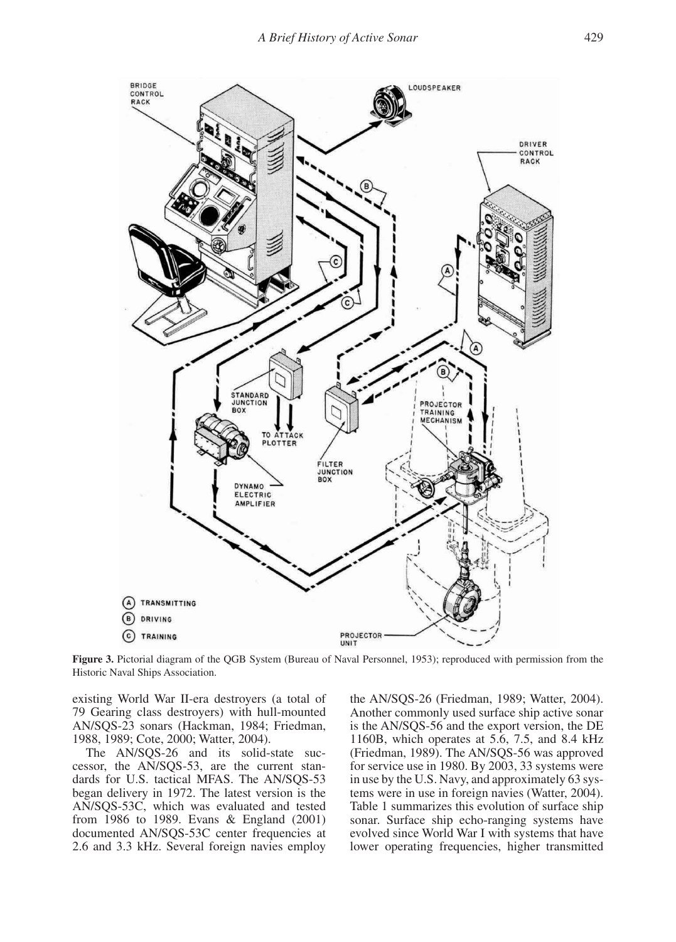

**Figure 3.** Pictorial diagram of the QGB System (Bureau of Naval Personnel, 1953); reproduced with permission from the Historic Naval Ships Association.

existing World War II-era destroyers (a total of 79 Gearing class destroyers) with hull-mounted AN/SQS-23 sonars (Hackman, 1984; Friedman, 1988, 1989; Cote, 2000; Watter, 2004).

The AN/SQS-26 and its solid-state successor, the AN/SQS-53, are the current standards for U.S. tactical MFAS. The AN/SQS-53 began delivery in 1972. The latest version is the AN/SQS-53C, which was evaluated and tested from 1986 to 1989. Evans & England  $(2001)$  sonar. Surface ship england  $\Delta N/SOS$  53C center fragmenties at a symbol since World W documented AN/SQS-53C center frequencies at 2.6 and 3.3 kHz. Several foreign navies employ

the AN/SQS-26 (Friedman, 1989; Watter, 2004). Another commonly used surface ship active sonar is the AN/SQS-56 and the export version, the DE 1160B, which operates at 5.6, 7.5, and 8.4 kHz (Friedman, 1989). The AN/SQS-56 was approved for service use in 1980. By 2003, 33 systems were in use by the U.S. Navy, and approximately 63 sys-Figure 3.3. take the Armore 3. Pictorial Diagram of the Castledge System (Bureau of Nature 2004).<br>Figure 3. Pictorial Diagram of the Armore in the tems were in use in foreign navies (Watter, 2004). Table 1 summarizes this evolution of surface ship sonar. Surface ship echo-ranging systems have evolved since World War I with systems that have lower operating frequencies, higher transmitted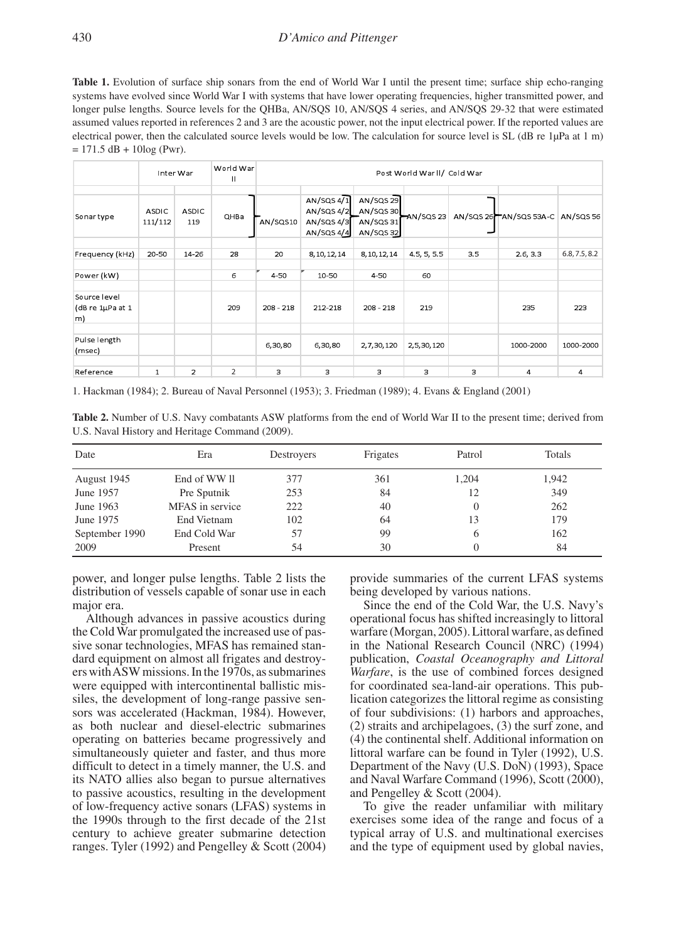Table 1. Evolution of surface ship sonars from the end of World War I until the present time; surface ship echo-ranging systems have evolved since World War I with systems that have lower operating frequencies, higher transmitted power, and longer pulse lengths. Source levels for the QHBa, AN/SQS 10, AN/SQS 4 series, and AN/SQS 29-32 that were estimated assumed values reported in references 2 and 3 are the acoustic power, not the input electrical power. If the reported values are electrical power, then the calculated source levels would be low. The calculation for source level is SL (dB re 1μPa at 1 m)  $= 171.5$  dB + 10log (Pwr).

|                                        | Inter War               |                     | World War<br>Ш | Post World War II/ Cold War |                                                                                                      |                        |             |     |                                  |               |  |
|----------------------------------------|-------------------------|---------------------|----------------|-----------------------------|------------------------------------------------------------------------------------------------------|------------------------|-------------|-----|----------------------------------|---------------|--|
| Sonar type                             | <b>ASDIC</b><br>111/112 | <b>ASDIC</b><br>119 | QHBa           | AN/SQS10                    | AN/SQS $4\sqrt{1}$<br>$AN/SQS 4/2$ $AN/SQS 30$ $AN/SQS 23$<br>$AN/SQS 4/3$ $AN/SQS 31$<br>AN/SQS 4/4 | AN/SQS 29<br>AN/SQS 32 |             |     | AN/SQS 26 AN/SQS 53A-C AN/SQS 56 |               |  |
| Frequency (kHz)                        | $20 - 50$               | 14-26               | 28             | 20                          | 8, 10, 12, 14                                                                                        | 8, 10, 12, 14          | 4.5, 5, 5.5 | 3.5 | 2.6, 3.3                         | 6.8, 7.5, 8.2 |  |
| Power (kW)                             |                         |                     | 6              | $4 - 50$                    | 10-50                                                                                                | $4 - 50$               | 60          |     |                                  |               |  |
| Source level<br>(dB re 1µPa at 1<br>m) |                         |                     | 209            | $208 - 218$                 | 212-218                                                                                              | $208 - 218$            | 219         |     | 235                              | 223           |  |
| Pulse length<br>(msec)                 |                         |                     |                | 6,30,80                     | 6,30,80                                                                                              | 2,7,30,120             | 2,5,30,120  |     | 1000-2000                        | 1000-2000     |  |
| Reference                              | $\mathbf{1}$            | $\overline{2}$      | $\overline{2}$ | 3                           | 3                                                                                                    | 3                      | 3           | 3   | $\overline{4}$                   | 4             |  |

1. Hackman (1984); 2. Bureau of Naval Personnel (1953); 3. Friedman (1989); 4. Evans & England (2001)

**Table 2.** Number of U.S. Navy combatants ASW platforms from the end of World War II to the present time; derived from U.S. Naval History and Heritage Command (2009).

| Date           | Era             | Destroyers | Frigates | Patrol | Totals |
|----------------|-----------------|------------|----------|--------|--------|
| August 1945    | End of WW 11    | 377        | 361      | 1.204  | 1,942  |
| June 1957      | Pre Sputnik     | 253        | 84       | 12     | 349    |
| June 1963      | MFAS in service | 222        | 40       |        | 262    |
| June 1975      | End Vietnam     | 102        | 64       | 13     | 179    |
| September 1990 | End Cold War    | 57         | 99       | 6      | 162    |
| 2009           | Present         | 54         | 30       |        | 84     |

power, and longer pulse lengths. Table 2 lists the distribution of vessels capable of sonar use in each major era.

Although advances in passive acoustics during the Cold War promulgated the increased use of passive sonar technologies, MFAS has remained standard equipment on almost all frigates and destroyers with ASW missions. In the 1970s, as submarines were equipped with intercontinental ballistic missiles, the development of long-range passive sensors was accelerated (Hackman, 1984). However, as both nuclear and diesel-electric submarines operating on batteries became progressively and simultaneously quieter and faster, and thus more difficult to detect in a timely manner, the U.S. and its NATO allies also began to pursue alternatives to passive acoustics, resulting in the development of low-frequency active sonars (LFAS) systems in the 1990s through to the first decade of the 21st century to achieve greater submarine detection ranges. Tyler (1992) and Pengelley & Scott (2004) provide summaries of the current LFAS systems being developed by various nations.

Since the end of the Cold War, the U.S. Navy's operational focus has shifted increasingly to littoral warfare (Morgan, 2005). Littoral warfare, as defined in the National Research Council (NRC) (1994) publication, *Coastal Oceanography and Littoral Warfare*, is the use of combined forces designed for coordinated sea-land-air operations. This publication categorizes the littoral regime as consisting of four subdivisions: (1) harbors and approaches, (2) straits and archipelagoes, (3) the surf zone, and (4) the continental shelf. Additional information on littoral warfare can be found in Tyler (1992), U.S. Department of the Navy (U.S. DoN) (1993), Space and Naval Warfare Command (1996), Scott (2000), and Pengelley & Scott (2004).

To give the reader unfamiliar with military exercises some idea of the range and focus of a typical array of U.S. and multinational exercises and the type of equipment used by global navies,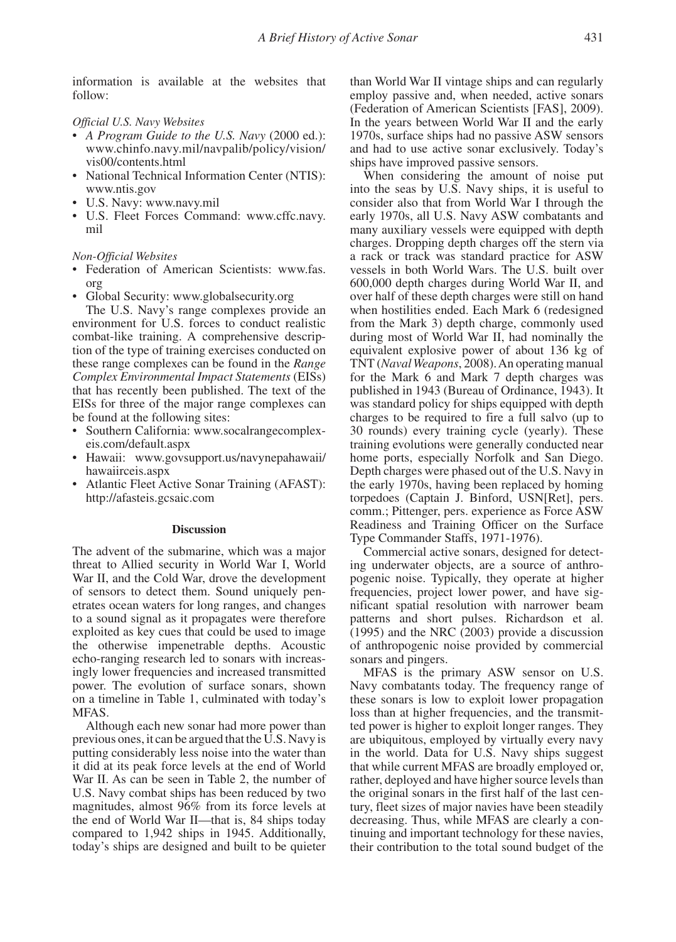information is available at the websites that follow:

## *Official U.S. Navy Websites*

- • *A Program Guide to the U.S. Navy* (2000 ed.): www.chinfo.navy.mil/navpalib/policy/vision/ vis00/contents.html
- National Technical Information Center (NTIS): www.ntis.gov
- • U.S. Navy: www.navy.mil
- • U.S. Fleet Forces Command: www.cffc.navy. mil

### *Non-Official Websites*

- Federation of American Scientists: www.fas. org
- Global Security: www.globalsecurity.org

The U.S. Navy's range complexes provide an environment for U.S. forces to conduct realistic combat-like training. A comprehensive description of the type of training exercises conducted on these range complexes can be found in the *Range Complex Environmental Impact Statements* (EISs) that has recently been published. The text of the EISs for three of the major range complexes can be found at the following sites:

- Southern California: www.socalrangecomplexeis.com/default.aspx
- Hawaii: www.govsupport.us/navynepahawaii/ hawaiirceis.aspx
- Atlantic Fleet Active Sonar Training (AFAST): http://afasteis.gcsaic.com

#### **Discussion**

The advent of the submarine, which was a major threat to Allied security in World War I, World War II, and the Cold War, drove the development of sensors to detect them. Sound uniquely penetrates ocean waters for long ranges, and changes to a sound signal as it propagates were therefore exploited as key cues that could be used to image the otherwise impenetrable depths. Acoustic echo-ranging research led to sonars with increasingly lower frequencies and increased transmitted power. The evolution of surface sonars, shown on a timeline in Table 1, culminated with today's MFAS.

Although each new sonar had more power than previous ones, it can be argued that the U.S. Navy is putting considerably less noise into the water than it did at its peak force levels at the end of World War II. As can be seen in Table 2, the number of U.S. Navy combat ships has been reduced by two magnitudes, almost 96% from its force levels at the end of World War II—that is, 84 ships today compared to 1,942 ships in 1945. Additionally, today's ships are designed and built to be quieter than World War II vintage ships and can regularly employ passive and, when needed, active sonars (Federation of American Scientists [FAS], 2009). In the years between World War II and the early 1970s, surface ships had no passive ASW sensors and had to use active sonar exclusively. Today's ships have improved passive sensors.

When considering the amount of noise put into the seas by U.S. Navy ships, it is useful to consider also that from World War I through the early 1970s, all U.S. Navy ASW combatants and many auxiliary vessels were equipped with depth charges. Dropping depth charges off the stern via a rack or track was standard practice for ASW vessels in both World Wars. The U.S. built over 600,000 depth charges during World War II, and over half of these depth charges were still on hand when hostilities ended. Each Mark 6 (redesigned from the Mark 3) depth charge, commonly used during most of World War II, had nominally the equivalent explosive power of about 136 kg of TNT (*Naval Weapons*, 2008). An operating manual for the Mark 6 and Mark 7 depth charges was published in 1943 (Bureau of Ordinance, 1943). It was standard policy for ships equipped with depth charges to be required to fire a full salvo (up to 30 rounds) every training cycle (yearly). These training evolutions were generally conducted near home ports, especially Norfolk and San Diego. Depth charges were phased out of the U.S. Navy in the early 1970s, having been replaced by homing torpedoes (Captain J. Binford, USN[Ret], pers. comm.; Pittenger, pers. experience as Force ASW Readiness and Training Officer on the Surface Type Commander Staffs, 1971-1976).

Commercial active sonars, designed for detecting underwater objects, are a source of anthropogenic noise. Typically, they operate at higher frequencies, project lower power, and have significant spatial resolution with narrower beam patterns and short pulses. Richardson et al.  $(1995)$  and the NRC  $(2003)$  provide a discussion of anthropogenic noise provided by commercial sonars and pingers.

MFAS is the primary ASW sensor on U.S. Navy combatants today. The frequency range of these sonars is low to exploit lower propagation loss than at higher frequencies, and the transmitted power is higher to exploit longer ranges. They are ubiquitous, employed by virtually every navy in the world. Data for U.S. Navy ships suggest that while current MFAS are broadly employed or, rather, deployed and have higher source levels than the original sonars in the first half of the last century, fleet sizes of major navies have been steadily decreasing. Thus, while MFAS are clearly a continuing and important technology for these navies, their contribution to the total sound budget of the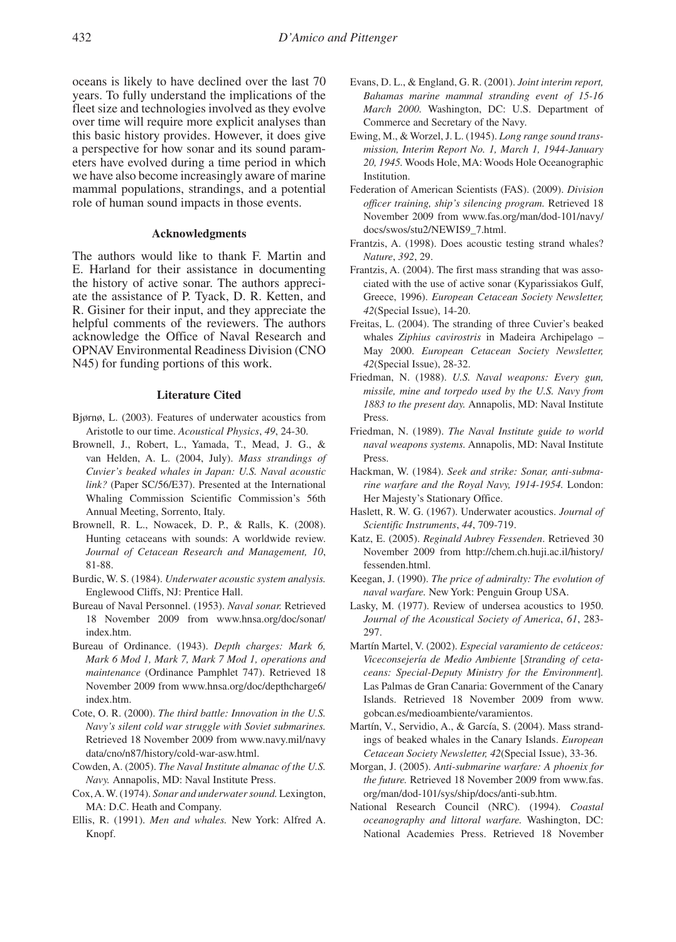oceans is likely to have declined over the last 70 years. To fully understand the implications of the fleet size and technologies involved as they evolve over time will require more explicit analyses than this basic history provides. However, it does give a perspective for how sonar and its sound parameters have evolved during a time period in which we have also become increasingly aware of marine mammal populations, strandings, and a potential role of human sound impacts in those events.

## **Acknowledgments**

The authors would like to thank F. Martin and E. Harland for their assistance in documenting the history of active sonar. The authors appreciate the assistance of P. Tyack, D. R. Ketten, and R. Gisiner for their input, and they appreciate the helpful comments of the reviewers. The authors acknowledge the Office of Naval Research and OPNAV Environmental Readiness Division (CNO N45) for funding portions of this work.

### **Literature Cited**

- Bjørnø, L. (2003). Features of underwater acoustics from Aristotle to our time. *Acoustical Physics*, *49*, 24-30.
- Brownell, J., Robert, L., Yamada, T., Mead, J. G., & van Helden, A. L. (2004, July). *Mass strandings of Cuvier's beaked whales in Japan: U.S. Naval acoustic link?* (Paper SC/56/E37). Presented at the International Whaling Commission Scientific Commission's 56th Annual Meeting, Sorrento, Italy.
- Brownell, R. L., Nowacek, D. P., & Ralls, K. (2008). Hunting cetaceans with sounds: A worldwide review. *Journal of Cetacean Research and Management, 10*, 81-88.
- Burdic, W. S. (1984). *Underwater acoustic system analysis.*  Englewood Cliffs, NJ: Prentice Hall.
- Bureau of Naval Personnel. (1953). *Naval sonar.* Retrieved 18 November 2009 from www.hnsa.org/doc/sonar/ index.htm.
- Bureau of Ordinance. (1943). *Depth charges: Mark 6, Mark 6 Mod 1, Mark 7, Mark 7 Mod 1, operations and maintenance* (Ordinance Pamphlet 747). Retrieved 18 November 2009 from www.hnsa.org/doc/depthcharge6/ index.htm.
- Cote, O. R. (2000). *The third battle: Innovation in the U.S. Navy's silent cold war struggle with Soviet submarines.* Retrieved 18 November 2009 from www.navy.mil/navy data/cno/n87/history/cold-war-asw.html.
- Cowden, A. (2005). *The Naval Institute almanac of the U.S. Navy.* Annapolis, MD: Naval Institute Press.
- Cox, A. W. (1974). *Sonar and underwater sound.* Lexington, MA: D.C. Heath and Company.
- Ellis, R. (1991). *Men and whales.* New York: Alfred A. Knopf.
- Evans, D. L., & England, G. R. (2001). *Joint interim report, Bahamas marine mammal stranding event of 15-16 March 2000.* Washington, DC: U.S. Department of Commerce and Secretary of the Navy.
- Ewing, M., & Worzel, J. L. (1945). *Long range sound transmission, Interim Report No. 1, March 1, 1944-January 20, 1945.* Woods Hole, MA: Woods Hole Oceanographic Institution.
- Federation of American Scientists (FAS). (2009). *Division officer training, ship's silencing program.* Retrieved 18 November 2009 from www.fas.org/man/dod-101/navy/ docs/swos/stu2/NEWIS9\_7.html.
- Frantzis, A. (1998). Does acoustic testing strand whales? *Nature*, *392*, 29.
- Frantzis, A. (2004). The first mass stranding that was associated with the use of active sonar (Kyparissiakos Gulf, Greece, 1996). *European Cetacean Society Newsletter, 42*(Special Issue), 14-20.
- Freitas, L. (2004). The stranding of three Cuvier's beaked whales *Ziphius cavirostris* in Madeira Archipelago – May 2000. *European Cetacean Society Newsletter, 42*(Special Issue), 28-32.
- Friedman, N. (1988). *U.S. Naval weapons: Every gun, missile, mine and torpedo used by the U.S. Navy from 1883 to the present day.* Annapolis, MD: Naval Institute Press.
- Friedman, N. (1989). *The Naval Institute guide to world naval weapons systems.* Annapolis, MD: Naval Institute Press.
- Hackman, W. (1984). *Seek and strike: Sonar, anti-submarine warfare and the Royal Navy, 1914-1954.* London: Her Majesty's Stationary Office.
- Haslett, R. W. G. (1967). Underwater acoustics. *Journal of Scientific Instruments*, *44*, 709-719.
- Katz, E. (2005). *Reginald Aubrey Fessenden*. Retrieved 30 November 2009 from http://chem.ch.huji.ac.il/history/ fessenden.html.
- Keegan, J. (1990). *The price of admiralty: The evolution of naval warfare.* New York: Penguin Group USA.
- Lasky, M. (1977). Review of undersea acoustics to 1950. *Journal of the Acoustical Society of America*, *61*, 283- 297.
- Martín Martel, V. (2002). *Especial varamiento de cetáceos: Viceconsejería de Medio Ambiente* [*Stranding of cetaceans: Special-Deputy Ministry for the Environment*]*.*  Las Palmas de Gran Canaria: Government of the Canary Islands. Retrieved 18 November 2009 from www. gobcan.es/medioambiente/varamientos.
- Martín, V., Servidio, A., & García, S. (2004). Mass strandings of beaked whales in the Canary Islands. *European Cetacean Society Newsletter, 42*(Special Issue), 33-36.
- Morgan, J. (2005). *Anti-submarine warfare: A phoenix for the future.* Retrieved 18 November 2009 from www.fas. org/man/dod-101/sys/ship/docs/anti-sub.htm.
- National Research Council (NRC). (1994). *Coastal oceanography and littoral warfare.* Washington, DC: National Academies Press. Retrieved 18 November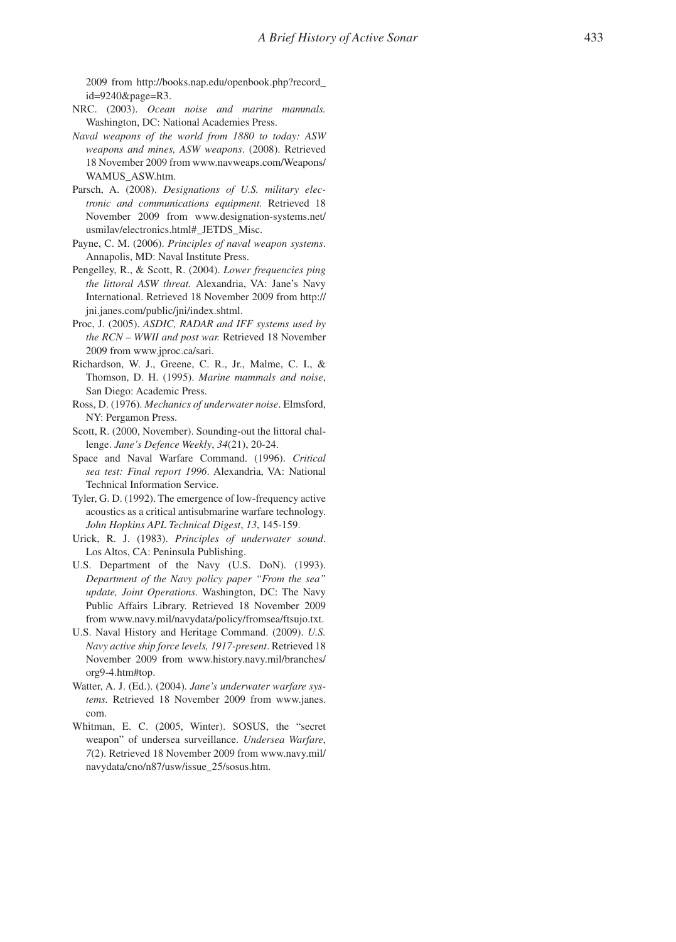2009 from http://books.nap.edu/openbook.php?record\_ id=9240&page=R3.

- NRC. (2003). *Ocean noise and marine mammals.* Washington, DC: National Academies Press.
- *Naval weapons of the world from 1880 to today: ASW weapons and mines, ASW weapons*. (2008). Retrieved 18 November 2009 from www.navweaps.com/Weapons/ WAMUS\_ASW.htm.
- Parsch, A. (2008). *Designations of U.S. military electronic and communications equipment.* Retrieved 18 November 2009 from www.designation-systems.net/ usmilav/electronics.html#\_JETDS\_Misc.
- Payne, C. M. (2006). *Principles of naval weapon systems*. Annapolis, MD: Naval Institute Press.
- Pengelley, R., & Scott, R. (2004). *Lower frequencies ping the littoral ASW threat.* Alexandria, VA: Jane's Navy International. Retrieved 18 November 2009 from http:// jni.janes.com/public/jni/index.shtml.
- Proc, J. (2005). *ASDIC, RADAR and IFF systems used by the RCN – WWII and post war.* Retrieved 18 November 2009 from www.jproc.ca/sari.
- Richardson, W. J., Greene, C. R., Jr., Malme, C. I., & Thomson, D. H. (1995). *Marine mammals and noise*, San Diego: Academic Press.
- Ross, D. (1976). *Mechanics of underwater noise*. Elmsford, NY: Pergamon Press.
- Scott, R. (2000, November). Sounding-out the littoral challenge. *Jane's Defence Weekly*, *34*(21), 20-24.
- Space and Naval Warfare Command. (1996). *Critical sea test: Final report 1996*. Alexandria, VA: National Technical Information Service.
- Tyler, G. D. (1992). The emergence of low-frequency active acoustics as a critical antisubmarine warfare technology. *John Hopkins APL Technical Digest*, *13*, 145-159.
- Urick, R. J. (1983). *Principles of underwater sound*. Los Altos, CA: Peninsula Publishing.
- U.S. Department of the Navy (U.S. DoN). (1993). *Department of the Navy policy paper "From the sea" update, Joint Operations.* Washington, DC: The Navy Public Affairs Library. Retrieved 18 November 2009 from www.navy.mil/navydata/policy/fromsea/ftsujo.txt.
- U.S. Naval History and Heritage Command. (2009). *U.S. Navy active ship force levels, 1917-present*. Retrieved 18 November 2009 from www.history.navy.mil/branches/ org9-4.htm#top.
- Watter, A. J. (Ed.). (2004). *Jane's underwater warfare systems.* Retrieved 18 November 2009 from www.janes. com.
- Whitman, E. C. (2005, Winter). SOSUS, the "secret weapon" of undersea surveillance. *Undersea Warfare*, *7*(2). Retrieved 18 November 2009 from www.navy.mil/ navydata/cno/n87/usw/issue\_25/sosus.htm.